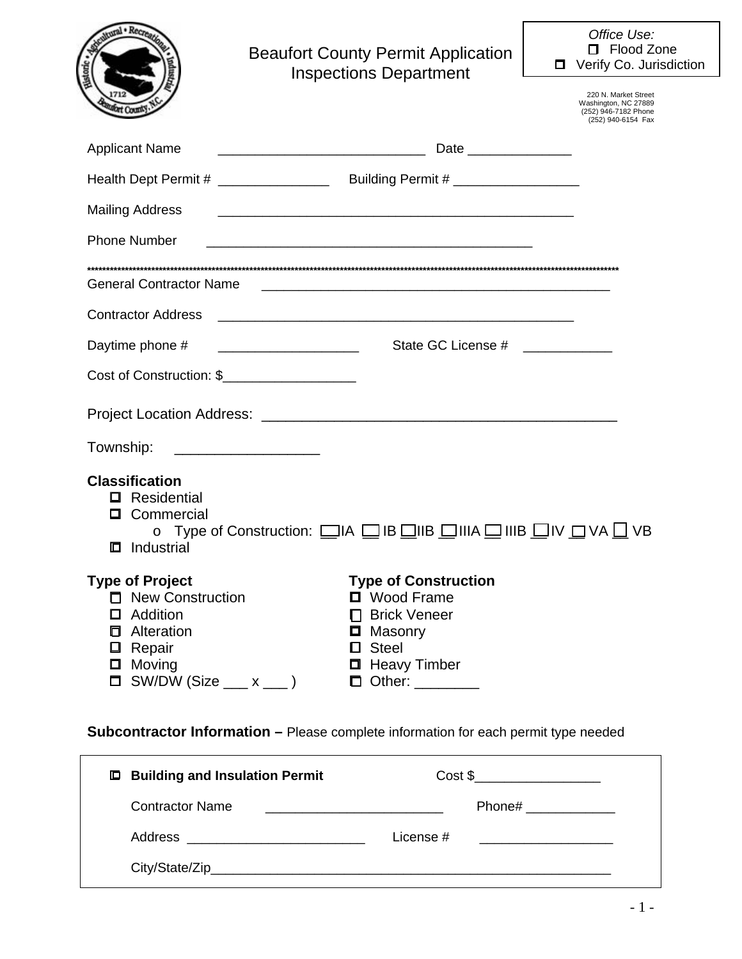|                                                                                                                                                                                         | <b>Beaufort County Permit Application</b><br><b>Inspections Department</b>                                                                                              |                                 | Office Use:<br>□ Flood Zone<br>□ Verify Co. Jurisdiction                                   |
|-----------------------------------------------------------------------------------------------------------------------------------------------------------------------------------------|-------------------------------------------------------------------------------------------------------------------------------------------------------------------------|---------------------------------|--------------------------------------------------------------------------------------------|
|                                                                                                                                                                                         |                                                                                                                                                                         |                                 | 220 N. Market Street<br>Washington, NC 27889<br>(252) 946-7182 Phone<br>(252) 940-6154 Fax |
| <b>Applicant Name</b>                                                                                                                                                                   |                                                                                                                                                                         | Date ________________           |                                                                                            |
|                                                                                                                                                                                         | Health Dept Permit # _______________________Building Permit # __________________                                                                                        |                                 |                                                                                            |
| <b>Mailing Address</b>                                                                                                                                                                  |                                                                                                                                                                         |                                 |                                                                                            |
| <b>Phone Number</b>                                                                                                                                                                     |                                                                                                                                                                         |                                 |                                                                                            |
| <b>General Contractor Name</b>                                                                                                                                                          |                                                                                                                                                                         |                                 |                                                                                            |
| <b>Contractor Address</b>                                                                                                                                                               | <u> 1999 - Jan James James James James James James James James James James James James James James James James J</u>                                                    |                                 |                                                                                            |
| Daytime phone #                                                                                                                                                                         |                                                                                                                                                                         | State GC License # ____________ |                                                                                            |
| Cost of Construction: \$                                                                                                                                                                |                                                                                                                                                                         |                                 |                                                                                            |
|                                                                                                                                                                                         |                                                                                                                                                                         |                                 |                                                                                            |
| Township:                                                                                                                                                                               | <u> 1980 - Johann Stoff, fransk politik (d. 1980)</u>                                                                                                                   |                                 |                                                                                            |
| <b>Classification</b><br>Residential<br>Commercial<br>$\Box$<br>Industrial<br>ш                                                                                                         | o Type of Construction: □IA □IB □IIB □IIIA □ IIIB □IV □ VA □ VB                                                                                                         |                                 |                                                                                            |
| <b>Type of Project</b><br>□ New Construction<br>$\Box$ Addition<br><b><math>\Box</math></b> Alteration<br>$\Box$ Repair<br>$\Box$ Moving<br>$SW/DW$ (Size $\_\_\_$ x $\_\_$ )<br>$\Box$ | <b>Type of Construction</b><br>□ Wood Frame<br><b>Brick Veneer</b><br><b>D</b> Masonry<br>$\Box$ Steel<br><b>Heavy Timber</b><br>$\Box$ Other: $\_\_\_\_\_\_\_\_\_\_\_$ |                                 |                                                                                            |

**Subcontractor Information –** Please complete information for each permit type needed

| $\Box$ Building and Insulation Permit                                        | Cost \$                                                      |
|------------------------------------------------------------------------------|--------------------------------------------------------------|
| Contractor Name<br><u> 1989 - John Stein, Amerikaansk politiker (* 1908)</u> | Phone# ____________                                          |
|                                                                              | License $#$<br><u> 1980 - Jan Samuel Barbara, margaret e</u> |
|                                                                              |                                                              |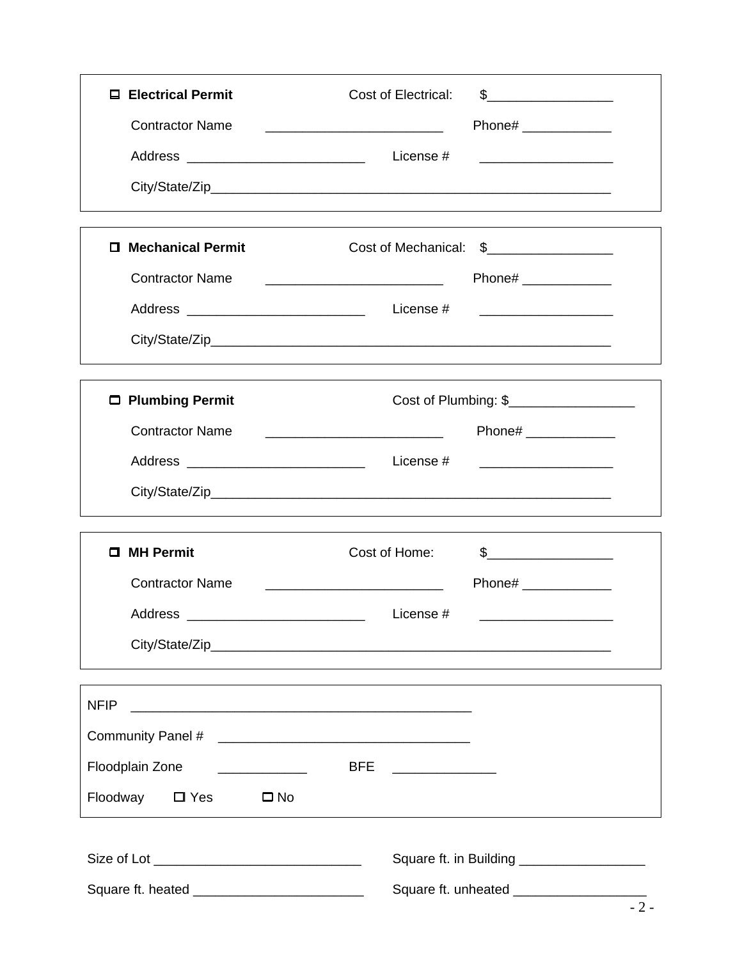| <b>□ Electrical Permit</b>                                            | Cost of Electrical:                                                                                                   |
|-----------------------------------------------------------------------|-----------------------------------------------------------------------------------------------------------------------|
| <b>Contractor Name</b>                                                | Phone# ______________                                                                                                 |
|                                                                       |                                                                                                                       |
|                                                                       |                                                                                                                       |
|                                                                       |                                                                                                                       |
| <b>Mechanical Permit</b><br>п.                                        | Cost of Mechanical: \$                                                                                                |
| <b>Contractor Name</b>                                                | Phone# ______________                                                                                                 |
|                                                                       | <u> 1989 - Johann Harry Harry Harry Harry Harry Harry Harry Harry Harry Harry Harry Harry Harry Harry Harry Harry</u> |
|                                                                       |                                                                                                                       |
| □ Plumbing Permit                                                     | Cost of Plumbing: \$___________________                                                                               |
| <b>Contractor Name</b>                                                | Phone# _____________                                                                                                  |
|                                                                       | <u> 1989 - Jan James James Barnett, fransk politik (d. 1989)</u>                                                      |
|                                                                       |                                                                                                                       |
| □ MH Permit                                                           | Cost of Home:                                                                                                         |
| <b>Contractor Name</b>                                                | Phone# _______________                                                                                                |
| Address                                                               | License #                                                                                                             |
|                                                                       |                                                                                                                       |
| <b>NFIP</b>                                                           |                                                                                                                       |
|                                                                       |                                                                                                                       |
| Floodplain Zone<br><u> 1986 - John Stone, Amerikaansk politiker (</u> | BFE ________________                                                                                                  |
| Floodway □ Yes<br>$\square$ No                                        |                                                                                                                       |
|                                                                       | Square ft. in Building ____________________                                                                           |
|                                                                       | Square ft. unheated _____________________                                                                             |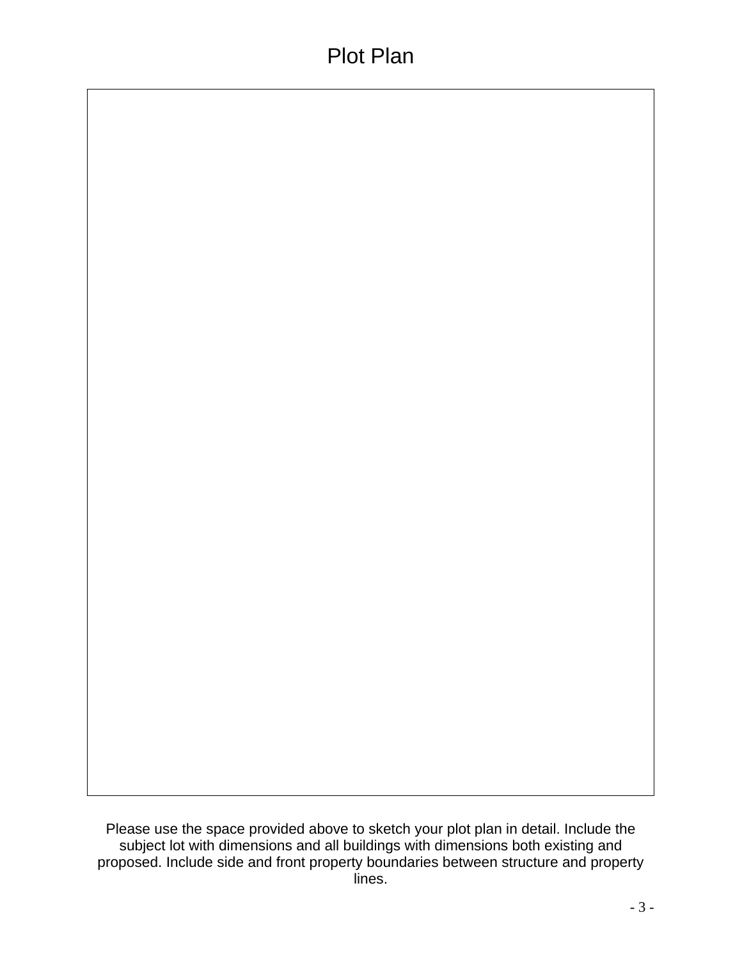Please use the space provided above to sketch your plot plan in detail. Include the subject lot with dimensions and all buildings with dimensions both existing and proposed. Include side and front property boundaries between structure and property lines.